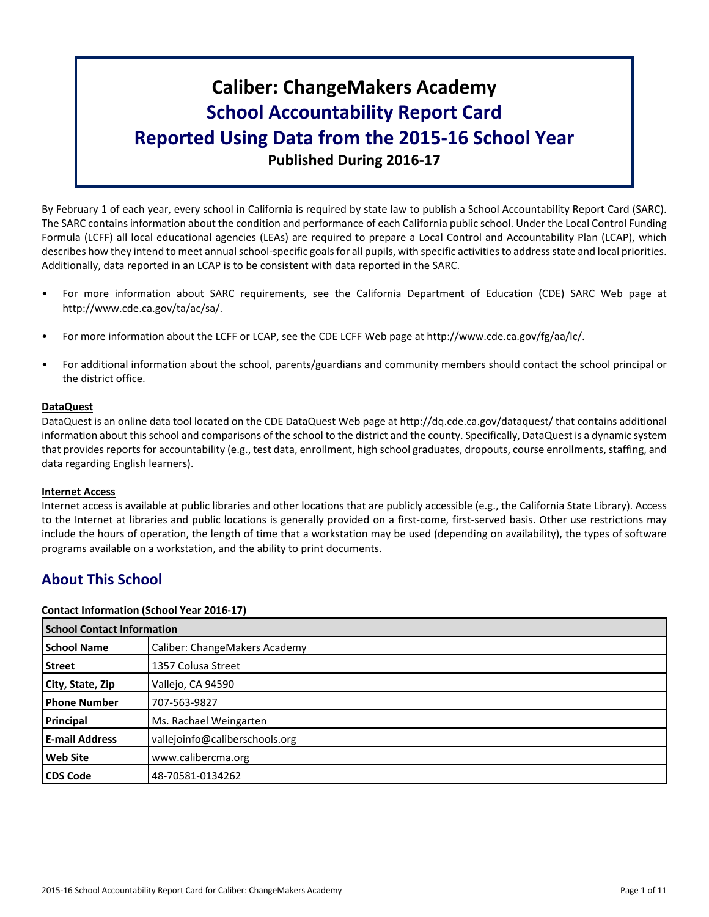# **Caliber: ChangeMakers Academy School Accountability Report Card Reported Using Data from the 2015-16 School Year Published During 2016-17**

By February 1 of each year, every school in California is required by state law to publish a School Accountability Report Card (SARC). The SARC contains information about the condition and performance of each California public school. Under the Local Control Funding Formula (LCFF) all local educational agencies (LEAs) are required to prepare a Local Control and Accountability Plan (LCAP), which describes how they intend to meet annual school-specific goals for all pupils, with specific activities to address state and local priorities. Additionally, data reported in an LCAP is to be consistent with data reported in the SARC.

- For more information about SARC requirements, see the California Department of Education (CDE) SARC Web page at http://www.cde.ca.gov/ta/ac/sa/.
- For more information about the LCFF or LCAP, see the CDE LCFF Web page at http://www.cde.ca.gov/fg/aa/lc/.
- For additional information about the school, parents/guardians and community members should contact the school principal or the district office.

# **DataQuest**

DataQuest is an online data tool located on the CDE DataQuest Web page at http://dq.cde.ca.gov/dataquest/ that contains additional information about this school and comparisons of the school to the district and the county. Specifically, DataQuest is a dynamic system that provides reports for accountability (e.g., test data, enrollment, high school graduates, dropouts, course enrollments, staffing, and data regarding English learners).

# **Internet Access**

Internet access is available at public libraries and other locations that are publicly accessible (e.g., the California State Library). Access to the Internet at libraries and public locations is generally provided on a first-come, first-served basis. Other use restrictions may include the hours of operation, the length of time that a workstation may be used (depending on availability), the types of software programs available on a workstation, and the ability to print documents.

# **About This School**

# **Contact Information (School Year 2016-17)**

|                       | <b>School Contact Information</b> |  |  |  |  |
|-----------------------|-----------------------------------|--|--|--|--|
| <b>School Name</b>    | Caliber: ChangeMakers Academy     |  |  |  |  |
| <b>Street</b>         | 1357 Colusa Street                |  |  |  |  |
| City, State, Zip      | Vallejo, CA 94590                 |  |  |  |  |
| <b>Phone Number</b>   | 707-563-9827                      |  |  |  |  |
| Principal             | Ms. Rachael Weingarten            |  |  |  |  |
| <b>E-mail Address</b> | vallejoinfo@caliberschools.org    |  |  |  |  |
| <b>Web Site</b>       | www.calibercma.org                |  |  |  |  |
| <b>CDS Code</b>       | 48-70581-0134262                  |  |  |  |  |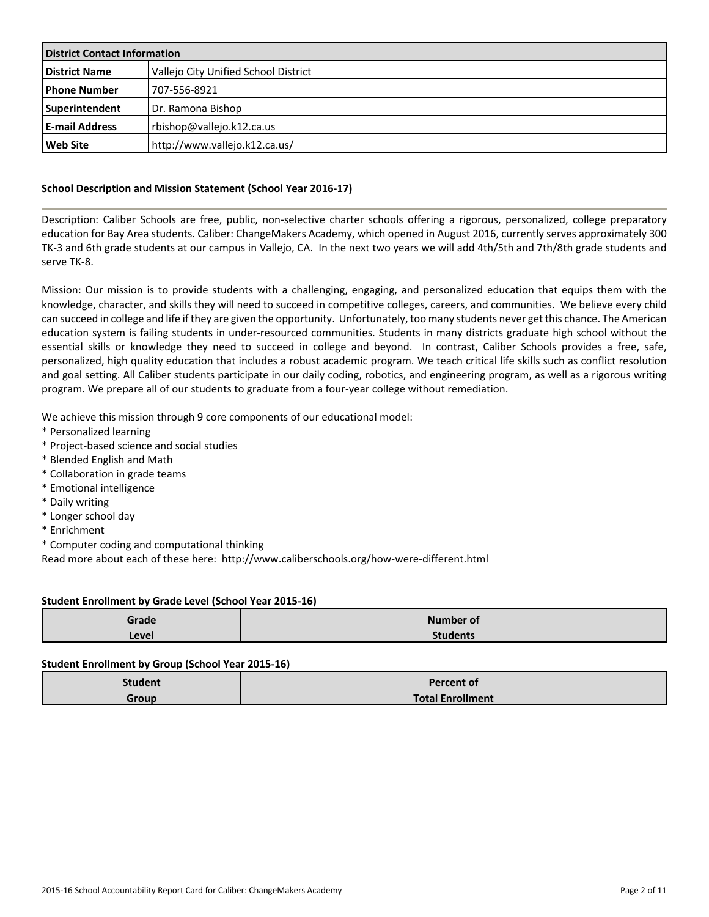| <b>District Contact Information</b> |                                      |  |  |
|-------------------------------------|--------------------------------------|--|--|
| District Name                       | Vallejo City Unified School District |  |  |
| <b>I Phone Number</b>               | 1707-556-8921                        |  |  |
| Superintendent                      | Dr. Ramona Bishop                    |  |  |
| l E-mail Address                    | rbishop@vallejo.k12.ca.us            |  |  |
| l Web Site                          | http://www.vallejo.k12.ca.us/        |  |  |

# **School Description and Mission Statement (School Year 2016-17)**

Description: Caliber Schools are free, public, non-selective charter schools offering a rigorous, personalized, college preparatory education for Bay Area students. Caliber: ChangeMakers Academy, which opened in August 2016, currently serves approximately 300 TK-3 and 6th grade students at our campus in Vallejo, CA. In the next two years we will add 4th/5th and 7th/8th grade students and serve TK-8.

Mission: Our mission is to provide students with a challenging, engaging, and personalized education that equips them with the knowledge, character, and skills they will need to succeed in competitive colleges, careers, and communities. We believe every child can succeed in college and life if they are given the opportunity. Unfortunately, too many students never get this chance. The American education system is failing students in under-resourced communities. Students in many districts graduate high school without the essential skills or knowledge they need to succeed in college and beyond. In contrast, Caliber Schools provides a free, safe, personalized, high quality education that includes a robust academic program. We teach critical life skills such as conflict resolution and goal setting. All Caliber students participate in our daily coding, robotics, and engineering program, as well as a rigorous writing program. We prepare all of our students to graduate from a four-year college without remediation.

We achieve this mission through 9 core components of our educational model:

- \* Personalized learning
- \* Project-based science and social studies
- \* Blended English and Math
- \* Collaboration in grade teams
- \* Emotional intelligence
- \* Daily writing
- \* Longer school day
- \* Enrichment
- \* Computer coding and computational thinking

Read more about each of these here: http://www.caliberschools.org/how-were-different.html

### **Student Enrollment by Grade Level (School Year 2015-16)**

| Grade | <b>Number of</b> |
|-------|------------------|
| Level | <b>Students</b>  |

### **Student Enrollment by Group (School Year 2015-16)**

| <b>Student</b> | <b>Percent of</b>       |
|----------------|-------------------------|
| Group          | <b>Total Enrollment</b> |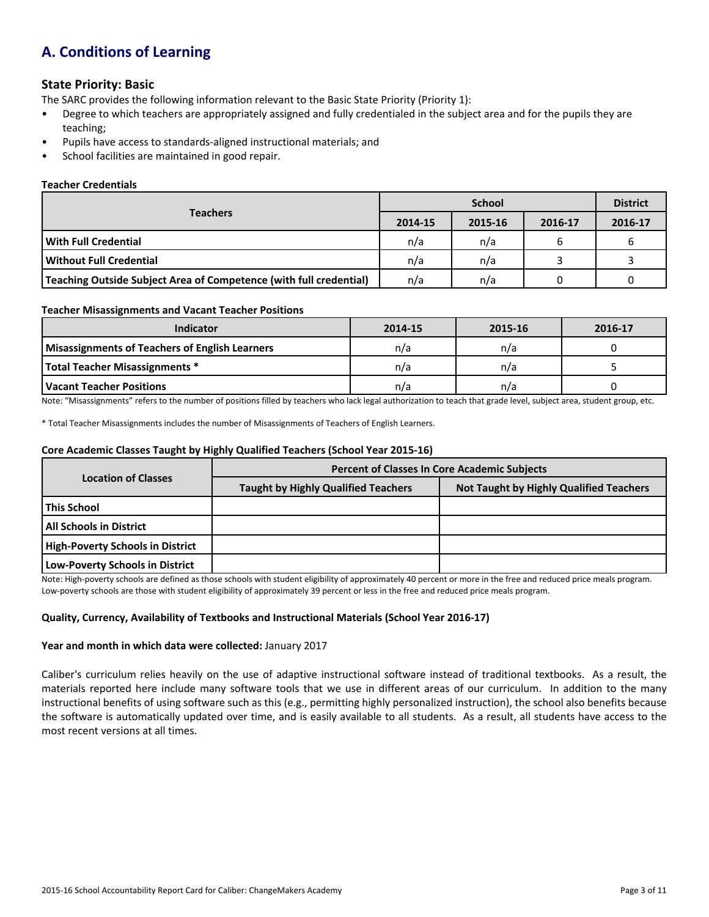# **A. Conditions of Learning**

# **State Priority: Basic**

The SARC provides the following information relevant to the Basic State Priority (Priority 1):

- Degree to which teachers are appropriately assigned and fully credentialed in the subject area and for the pupils they are teaching;
- Pupils have access to standards-aligned instructional materials; and
- School facilities are maintained in good repair.

# **Teacher Credentials**

|                                                                    |         | <b>District</b> |         |         |
|--------------------------------------------------------------------|---------|-----------------|---------|---------|
| <b>Teachers</b>                                                    | 2014-15 | 2015-16         | 2016-17 | 2016-17 |
| With Full Credential                                               | n/a     | n/a             | ь       |         |
| Without Full Credential                                            | n/a     | n/a             |         |         |
| Teaching Outside Subject Area of Competence (with full credential) | n/a     | n/a             |         |         |

### **Teacher Misassignments and Vacant Teacher Positions**

| <b>Indicator</b>                               | 2014-15 | 2015-16 | 2016-17 |
|------------------------------------------------|---------|---------|---------|
| Misassignments of Teachers of English Learners | n/a     | n/a     |         |
| Total Teacher Misassignments *                 | n/a     | n/a     |         |
| Vacant Teacher Positions                       | n/a     | n/a     |         |

Note: "Misassignments" refers to the number of positions filled by teachers who lack legal authorization to teach that grade level, subject area, student group, etc.

\* Total Teacher Misassignments includes the number of Misassignments of Teachers of English Learners.

#### **Core Academic Classes Taught by Highly Qualified Teachers (School Year 2015-16)**

|                                         | <b>Percent of Classes In Core Academic Subjects</b> |                                                |  |  |  |
|-----------------------------------------|-----------------------------------------------------|------------------------------------------------|--|--|--|
| <b>Location of Classes</b>              | <b>Taught by Highly Qualified Teachers</b>          | <b>Not Taught by Highly Qualified Teachers</b> |  |  |  |
| l This School                           |                                                     |                                                |  |  |  |
| <b>All Schools in District</b>          |                                                     |                                                |  |  |  |
| <b>High-Poverty Schools in District</b> |                                                     |                                                |  |  |  |
| Low-Poverty Schools in District         |                                                     |                                                |  |  |  |

Note: High-poverty schools are defined as those schools with student eligibility of approximately 40 percent or more in the free and reduced price meals program. Low-poverty schools are those with student eligibility of approximately 39 percent or less in the free and reduced price meals program.

# **Quality, Currency, Availability of Textbooks and Instructional Materials (School Year 2016-17)**

### **Year and month in which data were collected:** January 2017

Caliber's curriculum relies heavily on the use of adaptive instructional software instead of traditional textbooks. As a result, the materials reported here include many software tools that we use in different areas of our curriculum. In addition to the many instructional benefits of using software such as this (e.g., permitting highly personalized instruction), the school also benefits because the software is automatically updated over time, and is easily available to all students. As a result, all students have access to the most recent versions at all times.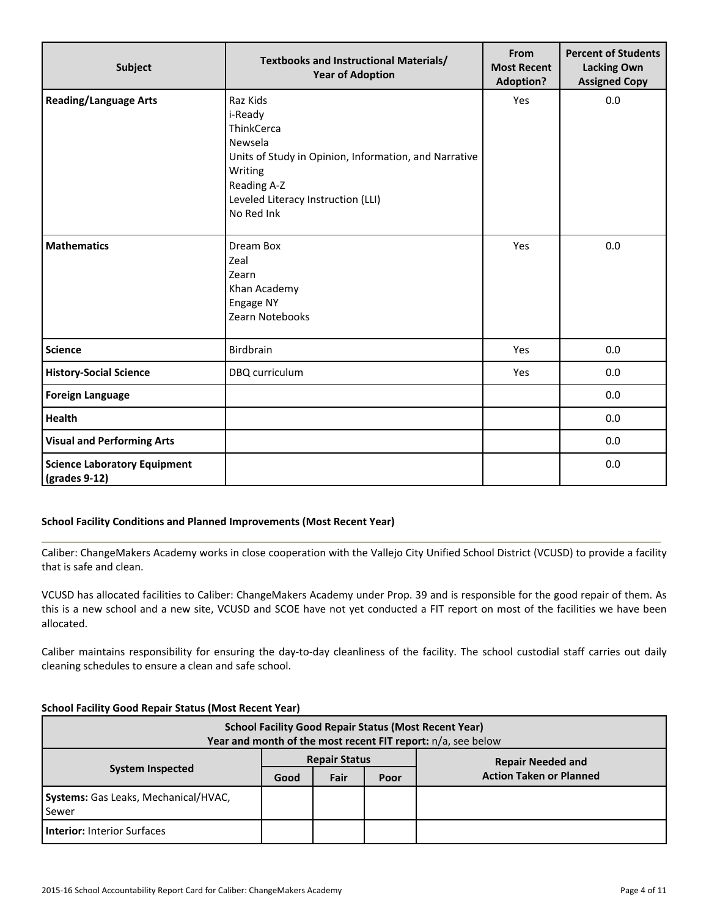| Subject                                              | Textbooks and Instructional Materials/<br><b>Year of Adoption</b>                                                                                                                   | From<br><b>Most Recent</b><br><b>Adoption?</b> | <b>Percent of Students</b><br><b>Lacking Own</b><br><b>Assigned Copy</b> |
|------------------------------------------------------|-------------------------------------------------------------------------------------------------------------------------------------------------------------------------------------|------------------------------------------------|--------------------------------------------------------------------------|
| <b>Reading/Language Arts</b>                         | Raz Kids<br>i-Ready<br>ThinkCerca<br>Newsela<br>Units of Study in Opinion, Information, and Narrative<br>Writing<br>Reading A-Z<br>Leveled Literacy Instruction (LLI)<br>No Red Ink | Yes                                            | 0.0                                                                      |
| <b>Mathematics</b>                                   | Dream Box<br>Zeal<br>Zearn<br>Khan Academy<br>Engage NY<br>Zearn Notebooks                                                                                                          | Yes                                            | 0.0                                                                      |
| <b>Science</b>                                       | Birdbrain                                                                                                                                                                           | Yes                                            | 0.0                                                                      |
| <b>History-Social Science</b>                        | DBQ curriculum                                                                                                                                                                      | Yes                                            | 0.0                                                                      |
| <b>Foreign Language</b>                              |                                                                                                                                                                                     |                                                | 0.0                                                                      |
| <b>Health</b>                                        |                                                                                                                                                                                     |                                                | 0.0                                                                      |
| <b>Visual and Performing Arts</b>                    |                                                                                                                                                                                     |                                                | 0.0                                                                      |
| <b>Science Laboratory Equipment</b><br>(grades 9-12) |                                                                                                                                                                                     |                                                | 0.0                                                                      |

# **School Facility Conditions and Planned Improvements (Most Recent Year)**

Caliber: ChangeMakers Academy works in close cooperation with the Vallejo City Unified School District (VCUSD) to provide a facility that is safe and clean.

VCUSD has allocated facilities to Caliber: ChangeMakers Academy under Prop. 39 and is responsible for the good repair of them. As this is a new school and a new site, VCUSD and SCOE have not yet conducted a FIT report on most of the facilities we have been allocated.

Caliber maintains responsibility for ensuring the day-to-day cleanliness of the facility. The school custodial staff carries out daily cleaning schedules to ensure a clean and safe school.

### **School Facility Good Repair Status (Most Recent Year)**

| <b>School Facility Good Repair Status (Most Recent Year)</b><br>Year and month of the most recent FIT report: n/a, see below |                          |      |      |                                |  |  |  |  |
|------------------------------------------------------------------------------------------------------------------------------|--------------------------|------|------|--------------------------------|--|--|--|--|
|                                                                                                                              | <b>Repair Needed and</b> |      |      |                                |  |  |  |  |
| <b>System Inspected</b>                                                                                                      | Good                     | Fair | Poor | <b>Action Taken or Planned</b> |  |  |  |  |
| Systems: Gas Leaks, Mechanical/HVAC,<br>Sewer                                                                                |                          |      |      |                                |  |  |  |  |
| <b>Interior: Interior Surfaces</b>                                                                                           |                          |      |      |                                |  |  |  |  |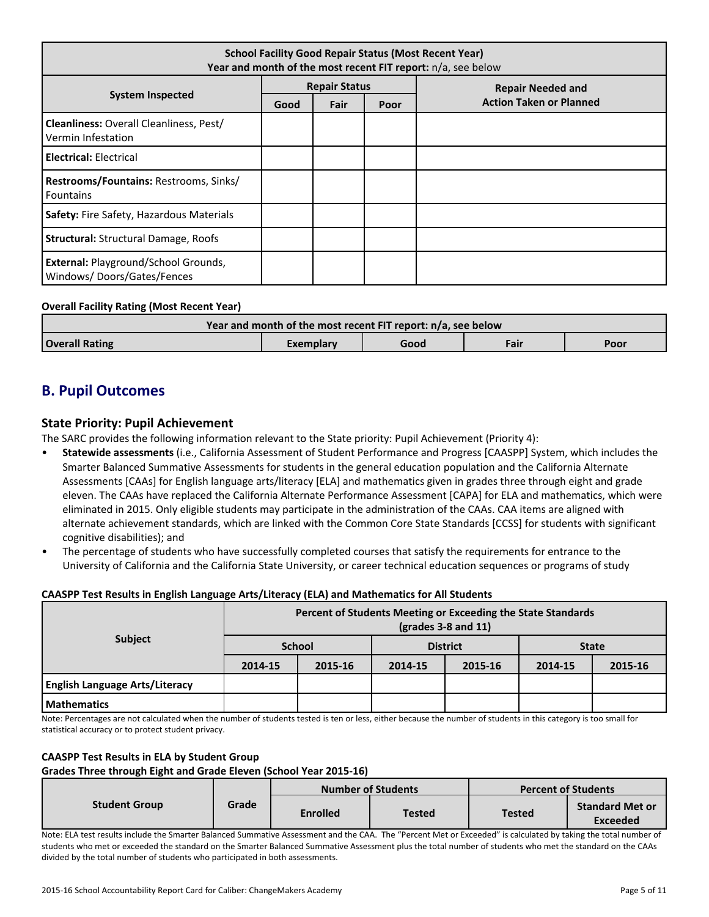| <b>School Facility Good Repair Status (Most Recent Year)</b><br>Year and month of the most recent FIT report: n/a, see below |                      |      |      |                                |  |  |
|------------------------------------------------------------------------------------------------------------------------------|----------------------|------|------|--------------------------------|--|--|
|                                                                                                                              | <b>Repair Status</b> |      |      | <b>Repair Needed and</b>       |  |  |
| <b>System Inspected</b>                                                                                                      | Good                 | Fair | Poor | <b>Action Taken or Planned</b> |  |  |
| <b>Cleanliness: Overall Cleanliness, Pest/</b><br>Vermin Infestation                                                         |                      |      |      |                                |  |  |
| <b>Electrical: Electrical</b>                                                                                                |                      |      |      |                                |  |  |
| <b>Restrooms/Fountains: Restrooms, Sinks/</b><br><b>Fountains</b>                                                            |                      |      |      |                                |  |  |
| Safety: Fire Safety, Hazardous Materials                                                                                     |                      |      |      |                                |  |  |
| <b>Structural: Structural Damage, Roofs</b>                                                                                  |                      |      |      |                                |  |  |
| <b>External: Playground/School Grounds,</b><br>Windows/Doors/Gates/Fences                                                    |                      |      |      |                                |  |  |

# **Overall Facility Rating (Most Recent Year)**

| Year and month of the most recent FIT report: n/a, see below |           |      |      |      |  |  |  |  |
|--------------------------------------------------------------|-----------|------|------|------|--|--|--|--|
| <b>Overall Rating</b>                                        | Exemplary | Good | Fair | Poor |  |  |  |  |

# **B. Pupil Outcomes**

# **State Priority: Pupil Achievement**

The SARC provides the following information relevant to the State priority: Pupil Achievement (Priority 4):

- **Statewide assessments** (i.e., California Assessment of Student Performance and Progress [CAASPP] System, which includes the Smarter Balanced Summative Assessments for students in the general education population and the California Alternate Assessments [CAAs] for English language arts/literacy [ELA] and mathematics given in grades three through eight and grade eleven. The CAAs have replaced the California Alternate Performance Assessment [CAPA] for ELA and mathematics, which were eliminated in 2015. Only eligible students may participate in the administration of the CAAs. CAA items are aligned with alternate achievement standards, which are linked with the Common Core State Standards [CCSS] for students with significant cognitive disabilities); and
- The percentage of students who have successfully completed courses that satisfy the requirements for entrance to the University of California and the California State University, or career technical education sequences or programs of study

### **CAASPP Test Results in English Language Arts/Literacy (ELA) and Mathematics for All Students**

|                                       | Percent of Students Meeting or Exceeding the State Standards<br>$\left(\text{grades }3-8\right)$ and $11\right)$ |         |                 |         |              |         |
|---------------------------------------|------------------------------------------------------------------------------------------------------------------|---------|-----------------|---------|--------------|---------|
| <b>Subject</b>                        | <b>School</b>                                                                                                    |         | <b>District</b> |         | <b>State</b> |         |
|                                       | 2014-15                                                                                                          | 2015-16 | 2014-15         | 2015-16 | 2014-15      | 2015-16 |
| <b>English Language Arts/Literacy</b> |                                                                                                                  |         |                 |         |              |         |
| <b>Mathematics</b>                    |                                                                                                                  |         |                 |         |              |         |

Note: Percentages are not calculated when the number of students tested is ten or less, either because the number of students in this category is too small for statistical accuracy or to protect student privacy.

### **CAASPP Test Results in ELA by Student Group**

### **Grades Three through Eight and Grade Eleven (School Year 2015-16)**

|                      |       |                 | <b>Number of Students</b> |               | <b>Percent of Students</b>                |
|----------------------|-------|-----------------|---------------------------|---------------|-------------------------------------------|
| <b>Student Group</b> | Grade | <b>Enrolled</b> | <b>Tested</b>             | <b>Tested</b> | <b>Standard Met or</b><br><b>Exceeded</b> |

Note: ELA test results include the Smarter Balanced Summative Assessment and the CAA. The "Percent Met or Exceeded" is calculated by taking the total number of students who met or exceeded the standard on the Smarter Balanced Summative Assessment plus the total number of students who met the standard on the CAAs divided by the total number of students who participated in both assessments.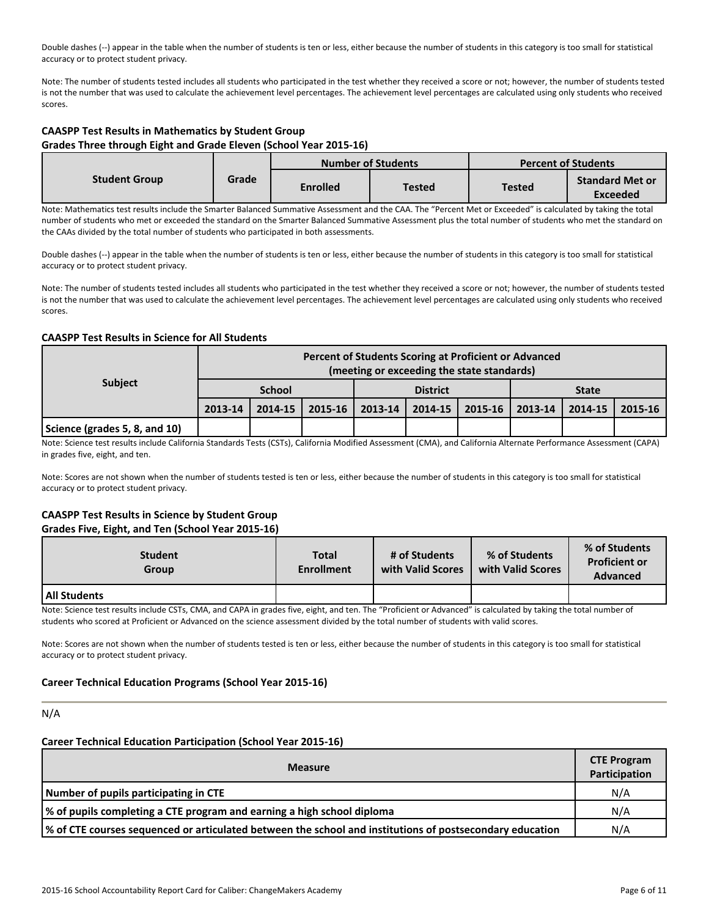Double dashes (--) appear in the table when the number of students is ten or less, either because the number of students in this category is too small for statistical accuracy or to protect student privacy.

Note: The number of students tested includes all students who participated in the test whether they received a score or not; however, the number of students tested is not the number that was used to calculate the achievement level percentages. The achievement level percentages are calculated using only students who received scores.

# **CAASPP Test Results in Mathematics by Student Group Grades Three through Eight and Grade Eleven (School Year 2015-16)**

|                      |       |                 | <b>Number of Students</b> |        | <b>Percent of Students</b>                |
|----------------------|-------|-----------------|---------------------------|--------|-------------------------------------------|
| <b>Student Group</b> | Grade | <b>Enrolled</b> | Tested                    | Tested | <b>Standard Met or</b><br><b>Exceeded</b> |

Note: Mathematics test results include the Smarter Balanced Summative Assessment and the CAA. The "Percent Met or Exceeded" is calculated by taking the total number of students who met or exceeded the standard on the Smarter Balanced Summative Assessment plus the total number of students who met the standard on the CAAs divided by the total number of students who participated in both assessments.

Double dashes (--) appear in the table when the number of students is ten or less, either because the number of students in this category is too small for statistical accuracy or to protect student privacy.

Note: The number of students tested includes all students who participated in the test whether they received a score or not; however, the number of students tested is not the number that was used to calculate the achievement level percentages. The achievement level percentages are calculated using only students who received scores.

# **CAASPP Test Results in Science for All Students**

|                               |               | Percent of Students Scoring at Proficient or Advanced<br>(meeting or exceeding the state standards) |             |                 |  |                   |              |         |         |  |
|-------------------------------|---------------|-----------------------------------------------------------------------------------------------------|-------------|-----------------|--|-------------------|--------------|---------|---------|--|
| <b>Subject</b>                | <b>School</b> |                                                                                                     |             | <b>District</b> |  |                   | <b>State</b> |         |         |  |
|                               | 2013-14       | 2014-15                                                                                             | $2015 - 16$ | 2013-14         |  | 2014-15   2015-16 | 2013-14      | 2014-15 | 2015-16 |  |
| Science (grades 5, 8, and 10) |               |                                                                                                     |             |                 |  |                   |              |         |         |  |

Note: Science test results include California Standards Tests (CSTs), California Modified Assessment (CMA), and California Alternate Performance Assessment (CAPA) in grades five, eight, and ten.

Note: Scores are not shown when the number of students tested is ten or less, either because the number of students in this category is too small for statistical accuracy or to protect student privacy.

# **CAASPP Test Results in Science by Student Group Grades Five, Eight, and Ten (School Year 2015-16)**

| <b>Student</b><br><b>Group</b> | Total<br><b>Enrollment</b> | # of Students<br>with Valid Scores | % of Students<br>with Valid Scores | % of Students<br><b>Proficient or</b><br><b>Advanced</b> |
|--------------------------------|----------------------------|------------------------------------|------------------------------------|----------------------------------------------------------|
| All Students                   |                            |                                    |                                    |                                                          |

Note: Science test results include CSTs, CMA, and CAPA in grades five, eight, and ten. The "Proficient or Advanced" is calculated by taking the total number of students who scored at Proficient or Advanced on the science assessment divided by the total number of students with valid scores.

Note: Scores are not shown when the number of students tested is ten or less, either because the number of students in this category is too small for statistical accuracy or to protect student privacy.

# **Career Technical Education Programs (School Year 2015-16)**

# N/A

### **Career Technical Education Participation (School Year 2015-16)**

| <b>Measure</b>                                                                                             | <b>CTE Program</b><br>Participation |  |  |  |  |  |
|------------------------------------------------------------------------------------------------------------|-------------------------------------|--|--|--|--|--|
| Number of pupils participating in CTE                                                                      |                                     |  |  |  |  |  |
| % of pupils completing a CTE program and earning a high school diploma                                     | N/A                                 |  |  |  |  |  |
| of CTE courses sequenced or articulated between the school and institutions of postsecondary education (%) | N/A                                 |  |  |  |  |  |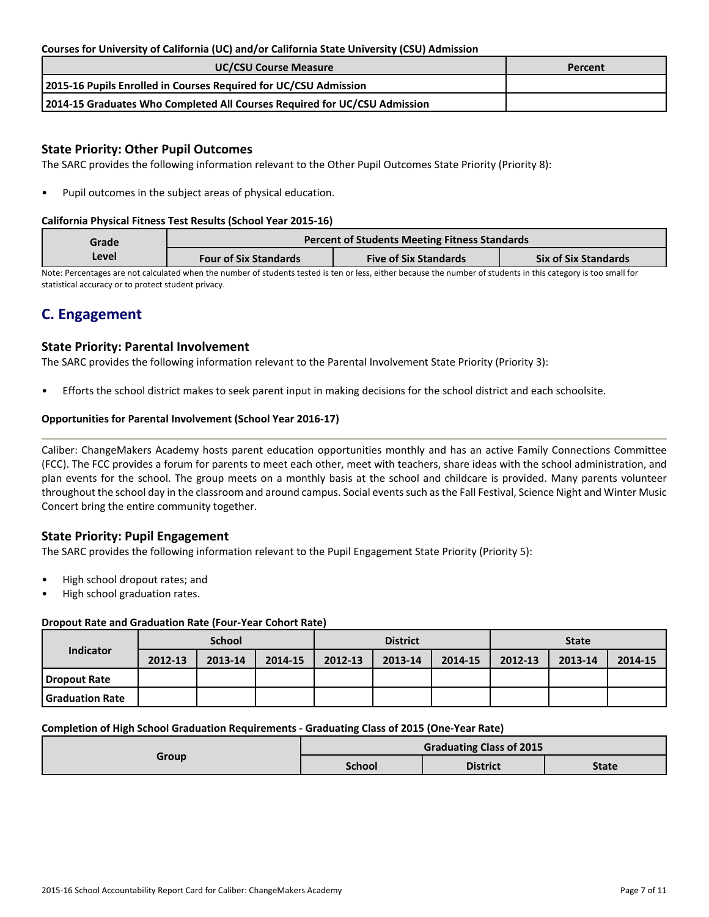# **Courses for University of California (UC) and/or California State University (CSU) Admission**

| <b>UC/CSU Course Measure</b>                                              | Percent |
|---------------------------------------------------------------------------|---------|
| 2015-16 Pupils Enrolled in Courses Required for UC/CSU Admission          |         |
| 2014-15 Graduates Who Completed All Courses Required for UC/CSU Admission |         |

# **State Priority: Other Pupil Outcomes**

The SARC provides the following information relevant to the Other Pupil Outcomes State Priority (Priority 8):

Pupil outcomes in the subject areas of physical education.

### **California Physical Fitness Test Results (School Year 2015-16)**

| Grade |                              | <b>Percent of Students Meeting Fitness Standards</b> |                             |
|-------|------------------------------|------------------------------------------------------|-----------------------------|
| Level | <b>Four of Six Standards</b> | <b>Five of Six Standards</b>                         | <b>Six of Six Standards</b> |

Note: Percentages are not calculated when the number of students tested is ten or less, either because the number of students in this category is too small for statistical accuracy or to protect student privacy.

# **C. Engagement**

# **State Priority: Parental Involvement**

The SARC provides the following information relevant to the Parental Involvement State Priority (Priority 3):

• Efforts the school district makes to seek parent input in making decisions for the school district and each schoolsite.

# **Opportunities for Parental Involvement (School Year 2016-17)**

Caliber: ChangeMakers Academy hosts parent education opportunities monthly and has an active Family Connections Committee (FCC). The FCC provides a forum for parents to meet each other, meet with teachers, share ideas with the school administration, and plan events for the school. The group meets on a monthly basis at the school and childcare is provided. Many parents volunteer throughout the school day in the classroom and around campus. Social events such as the Fall Festival, Science Night and Winter Music Concert bring the entire community together.

# **State Priority: Pupil Engagement**

The SARC provides the following information relevant to the Pupil Engagement State Priority (Priority 5):

- High school dropout rates; and
- High school graduation rates.

### **Dropout Rate and Graduation Rate (Four-Year Cohort Rate)**

| Indicator         |         | <b>School</b> |         |         | <b>District</b> |         | <b>State</b> |         |         |
|-------------------|---------|---------------|---------|---------|-----------------|---------|--------------|---------|---------|
|                   | 2012-13 | 2013-14       | 2014-15 | 2012-13 | 2013-14         | 2014-15 | 2012-13      | 2013-14 | 2014-15 |
| Dropout Rate      |         |               |         |         |                 |         |              |         |         |
| l Graduation Rate |         |               |         |         |                 |         |              |         |         |

### **Completion of High School Graduation Requirements - Graduating Class of 2015 (One-Year Rate)**

| Group | <b>Graduating Class of 2015</b> |                 |              |  |  |  |
|-------|---------------------------------|-----------------|--------------|--|--|--|
|       | <b>School</b>                   | <b>District</b> | <b>State</b> |  |  |  |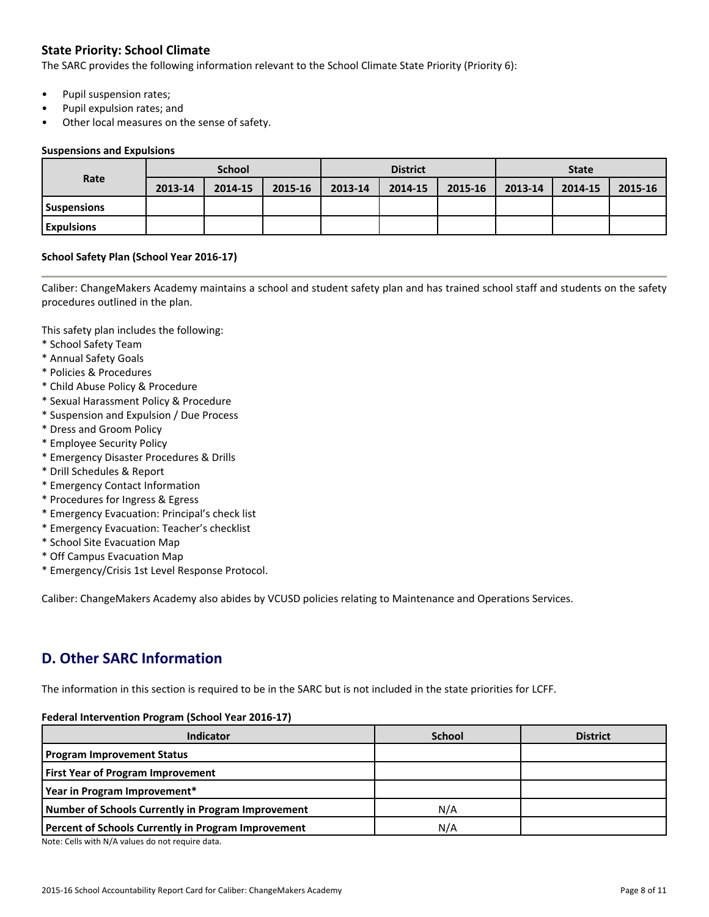# **State Priority: School Climate**

The SARC provides the following information relevant to the School Climate State Priority (Priority 6):

- Pupil suspension rates;
- Pupil expulsion rates; and
- Other local measures on the sense of safety.

#### **Suspensions and Expulsions**

| Rate               | <b>School</b> |         |         |         | <b>District</b> |         | <b>State</b> |         |         |
|--------------------|---------------|---------|---------|---------|-----------------|---------|--------------|---------|---------|
|                    | 2013-14       | 2014-15 | 2015-16 | 2013-14 | 2014-15         | 2015-16 | 2013-14      | 2014-15 | 2015-16 |
| <b>Suspensions</b> |               |         |         |         |                 |         |              |         |         |
| <b>Expulsions</b>  |               |         |         |         |                 |         |              |         |         |

# **School Safety Plan (School Year 2016-17)**

Caliber: ChangeMakers Academy maintains a school and student safety plan and has trained school staff and students on the safety procedures outlined in the plan.

This safety plan includes the following:

- \* School Safety Team
- \* Annual Safety Goals
- \* Policies & Procedures
- \* Child Abuse Policy & Procedure
- \* Sexual Harassment Policy & Procedure
- \* Suspension and Expulsion / Due Process
- \* Dress and Groom Policy
- \* Employee Security Policy
- \* Emergency Disaster Procedures & Drills
- \* Drill Schedules & Report
- \* Emergency Contact Information
- \* Procedures for Ingress & Egress
- \* Emergency Evacuation: Principal's check list
- \* Emergency Evacuation: Teacher's checklist
- \* School Site Evacuation Map
- \* Off Campus Evacuation Map
- \* Emergency/Crisis 1st Level Response Protocol.

Caliber: ChangeMakers Academy also abides by VCUSD policies relating to Maintenance and Operations Services.

# **D. Other SARC Information**

The information in this section is required to be in the SARC but is not included in the state priorities for LCFF.

### **Federal Intervention Program (School Year 2016-17)**

| Indicator                                           | <b>School</b> | <b>District</b> |
|-----------------------------------------------------|---------------|-----------------|
| <b>Program Improvement Status</b>                   |               |                 |
| <b>First Year of Program Improvement</b>            |               |                 |
| Year in Program Improvement*                        |               |                 |
| Number of Schools Currently in Program Improvement  | N/A           |                 |
| Percent of Schools Currently in Program Improvement | N/A           |                 |

Note: Cells with N/A values do not require data.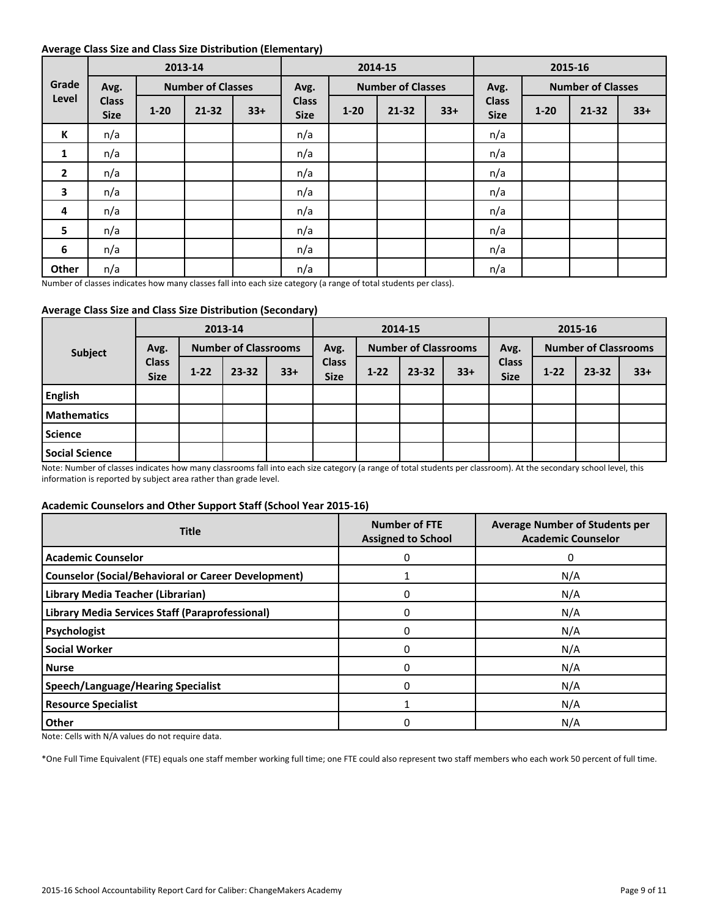### **Average Class Size and Class Size Distribution (Elementary)**

|                 |                             |                          | 2013-14   |       |                             | 2014-15                  |           |       |                             | 2015-16                  |       |       |  |
|-----------------|-----------------------------|--------------------------|-----------|-------|-----------------------------|--------------------------|-----------|-------|-----------------------------|--------------------------|-------|-------|--|
| Grade<br>Level  | Avg.                        | <b>Number of Classes</b> |           | Avg.  |                             | <b>Number of Classes</b> |           | Avg.  |                             | <b>Number of Classes</b> |       |       |  |
|                 | <b>Class</b><br><b>Size</b> | $1 - 20$                 | $21 - 32$ | $33+$ | <b>Class</b><br><b>Size</b> | $1 - 20$                 | $21 - 32$ | $33+$ | <b>Class</b><br><b>Size</b> | $1 - 20$                 | 21-32 | $33+$ |  |
| К               | n/a                         |                          |           |       | n/a                         |                          |           |       | n/a                         |                          |       |       |  |
| 1               | n/a                         |                          |           |       | n/a                         |                          |           |       | n/a                         |                          |       |       |  |
| $\overline{2}$  | n/a                         |                          |           |       | n/a                         |                          |           |       | n/a                         |                          |       |       |  |
| 3               | n/a                         |                          |           |       | n/a                         |                          |           |       | n/a                         |                          |       |       |  |
| 4               | n/a                         |                          |           |       | n/a                         |                          |           |       | n/a                         |                          |       |       |  |
| $5\phantom{.0}$ | n/a                         |                          |           |       | n/a                         |                          |           |       | n/a                         |                          |       |       |  |
| 6               | n/a                         |                          |           |       | n/a                         |                          |           |       | n/a                         |                          |       |       |  |
| Other           | n/a                         |                          |           |       | n/a                         |                          |           |       | n/a                         |                          |       |       |  |

Number of classes indicates how many classes fall into each size category (a range of total students per class).

# **Average Class Size and Class Size Distribution (Secondary)**

| <b>Subject</b>        | 2013-14                             |                             |           | 2014-15 |                             |          | 2015-16   |                             |                             |          |           |       |
|-----------------------|-------------------------------------|-----------------------------|-----------|---------|-----------------------------|----------|-----------|-----------------------------|-----------------------------|----------|-----------|-------|
|                       | Avg.<br><b>Class</b><br><b>Size</b> | <b>Number of Classrooms</b> |           | Avg.    | <b>Number of Classrooms</b> |          | Avg.      | <b>Number of Classrooms</b> |                             |          |           |       |
|                       |                                     | $1 - 22$                    | $23 - 32$ | $33+$   | <b>Class</b><br><b>Size</b> | $1 - 22$ | $23 - 32$ | $33+$                       | <b>Class</b><br><b>Size</b> | $1 - 22$ | $23 - 32$ | $33+$ |
| <b>English</b>        |                                     |                             |           |         |                             |          |           |                             |                             |          |           |       |
| <b>Mathematics</b>    |                                     |                             |           |         |                             |          |           |                             |                             |          |           |       |
| <b>Science</b>        |                                     |                             |           |         |                             |          |           |                             |                             |          |           |       |
| <b>Social Science</b> |                                     |                             |           |         |                             |          |           |                             |                             |          |           |       |

Note: Number of classes indicates how many classrooms fall into each size category (a range of total students per classroom). At the secondary school level, this information is reported by subject area rather than grade level.

### **Academic Counselors and Other Support Staff (School Year 2015-16)**

| <b>Title</b>                                               | <b>Number of FTE</b><br><b>Assigned to School</b> | <b>Average Number of Students per</b><br><b>Academic Counselor</b> |
|------------------------------------------------------------|---------------------------------------------------|--------------------------------------------------------------------|
| <b>Academic Counselor</b>                                  | $\Omega$                                          | 0                                                                  |
| <b>Counselor (Social/Behavioral or Career Development)</b> |                                                   | N/A                                                                |
| Library Media Teacher (Librarian)                          |                                                   | N/A                                                                |
| Library Media Services Staff (Paraprofessional)            | $\Omega$                                          | N/A                                                                |
| Psychologist                                               | O                                                 | N/A                                                                |
| <b>Social Worker</b>                                       | $\Omega$                                          | N/A                                                                |
| l Nurse                                                    | $\Omega$                                          | N/A                                                                |
| <b>Speech/Language/Hearing Specialist</b>                  | $\Omega$                                          | N/A                                                                |
| <b>Resource Specialist</b>                                 |                                                   | N/A                                                                |
| <b>Other</b>                                               |                                                   | N/A                                                                |

Note: Cells with N/A values do not require data.

\*One Full Time Equivalent (FTE) equals one staff member working full time; one FTE could also represent two staff members who each work 50 percent of full time.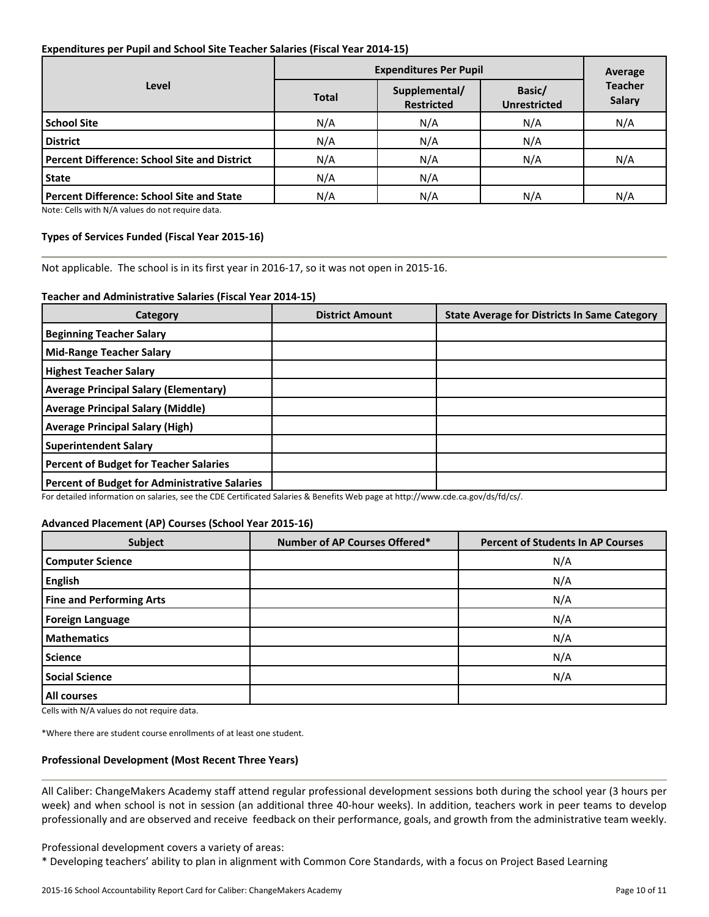# **Expenditures per Pupil and School Site Teacher Salaries (Fiscal Year 2014-15)**

|                                                  | <b>Expenditures Per Pupil</b> | Average                            |                               |                                 |  |
|--------------------------------------------------|-------------------------------|------------------------------------|-------------------------------|---------------------------------|--|
| Level                                            | <b>Total</b>                  | Supplemental/<br><b>Restricted</b> | Basic/<br><b>Unrestricted</b> | <b>Teacher</b><br><b>Salary</b> |  |
| <b>School Site</b>                               | N/A                           | N/A                                | N/A                           | N/A                             |  |
| <b>District</b>                                  | N/A                           | N/A                                | N/A                           |                                 |  |
| Percent Difference: School Site and District     | N/A                           | N/A                                | N/A                           | N/A                             |  |
| <b>State</b>                                     | N/A                           | N/A                                |                               |                                 |  |
| <b>Percent Difference: School Site and State</b> | N/A                           | N/A                                | N/A                           | N/A                             |  |

Note: Cells with N/A values do not require data.

#### **Types of Services Funded (Fiscal Year 2015-16)**

Not applicable. The school is in its first year in 2016-17, so it was not open in 2015-16.

#### **Teacher and Administrative Salaries (Fiscal Year 2014-15)**

| Category                                             | <b>District Amount</b> | <b>State Average for Districts In Same Category</b> |
|------------------------------------------------------|------------------------|-----------------------------------------------------|
| <b>Beginning Teacher Salary</b>                      |                        |                                                     |
| Mid-Range Teacher Salary                             |                        |                                                     |
| <b>Highest Teacher Salary</b>                        |                        |                                                     |
| <b>Average Principal Salary (Elementary)</b>         |                        |                                                     |
| <b>Average Principal Salary (Middle)</b>             |                        |                                                     |
| <b>Average Principal Salary (High)</b>               |                        |                                                     |
| <b>Superintendent Salary</b>                         |                        |                                                     |
| <b>Percent of Budget for Teacher Salaries</b>        |                        |                                                     |
| <b>Percent of Budget for Administrative Salaries</b> |                        |                                                     |

For detailed information on salaries, see the CDE Certificated Salaries & Benefits Web page at http://www.cde.ca.gov/ds/fd/cs/.

### **Advanced Placement (AP) Courses (School Year 2015-16)**

| <b>Subject</b>                  | <b>Number of AP Courses Offered*</b> | <b>Percent of Students In AP Courses</b> |
|---------------------------------|--------------------------------------|------------------------------------------|
| <b>Computer Science</b>         |                                      | N/A                                      |
| <b>English</b>                  |                                      | N/A                                      |
| <b>Fine and Performing Arts</b> |                                      | N/A                                      |
| <b>Foreign Language</b>         |                                      | N/A                                      |
| <b>Mathematics</b>              |                                      | N/A                                      |
| <b>Science</b>                  |                                      | N/A                                      |
| <b>Social Science</b>           |                                      | N/A                                      |
| All courses                     |                                      |                                          |

Cells with N/A values do not require data.

\*Where there are student course enrollments of at least one student.

### **Professional Development (Most Recent Three Years)**

All Caliber: ChangeMakers Academy staff attend regular professional development sessions both during the school year (3 hours per week) and when school is not in session (an additional three 40-hour weeks). In addition, teachers work in peer teams to develop professionally and are observed and receive feedback on their performance, goals, and growth from the administrative team weekly.

Professional development covers a variety of areas:

\* Developing teachers' ability to plan in alignment with Common Core Standards, with a focus on Project Based Learning